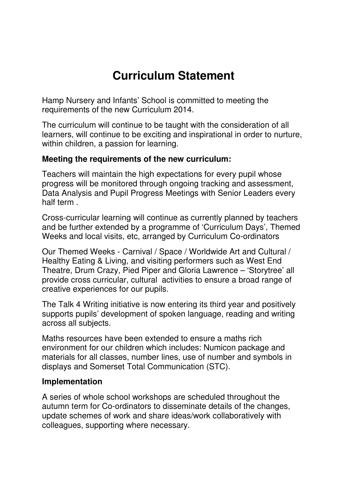# **Curriculum Statement**

Hamp Nursery and Infants' School is committed to meeting the requirements of the new Curriculum 2014.

The curriculum will continue to be taught with the consideration of all learners, will continue to be exciting and inspirational in order to nurture, within children, a passion for learning.

## **Meeting the requirements of the new curriculum:**

Teachers will maintain the high expectations for every pupil whose progress will be monitored through ongoing tracking and assessment, Data Analysis and Pupil Progress Meetings with Senior Leaders every half term .

Cross-curricular learning will continue as currently planned by teachers and be further extended by a programme of 'Curriculum Days', Themed Weeks and local visits, etc, arranged by Curriculum Co-ordinators

Our Themed Weeks - Carnival / Space / Worldwide Art and Cultural / Healthy Eating & Living, and visiting performers such as West End Theatre, Drum Crazy, Pied Piper and Gloria Lawrence – 'Storytree' all provide cross curricular, cultural activities to ensure a broad range of creative experiences for our pupils.

The Talk 4 Writing initiative is now entering its third year and positively supports pupils' development of spoken language, reading and writing across all subjects.

Maths resources have been extended to ensure a maths rich environment for our children which includes: Numicon package and materials for all classes, number lines, use of number and symbols in displays and Somerset Total Communication (STC).

#### **Implementation**

A series of whole school workshops are scheduled throughout the autumn term for Co-ordinators to disseminate details of the changes, update schemes of work and share ideas/work collaboratively with colleagues, supporting where necessary.